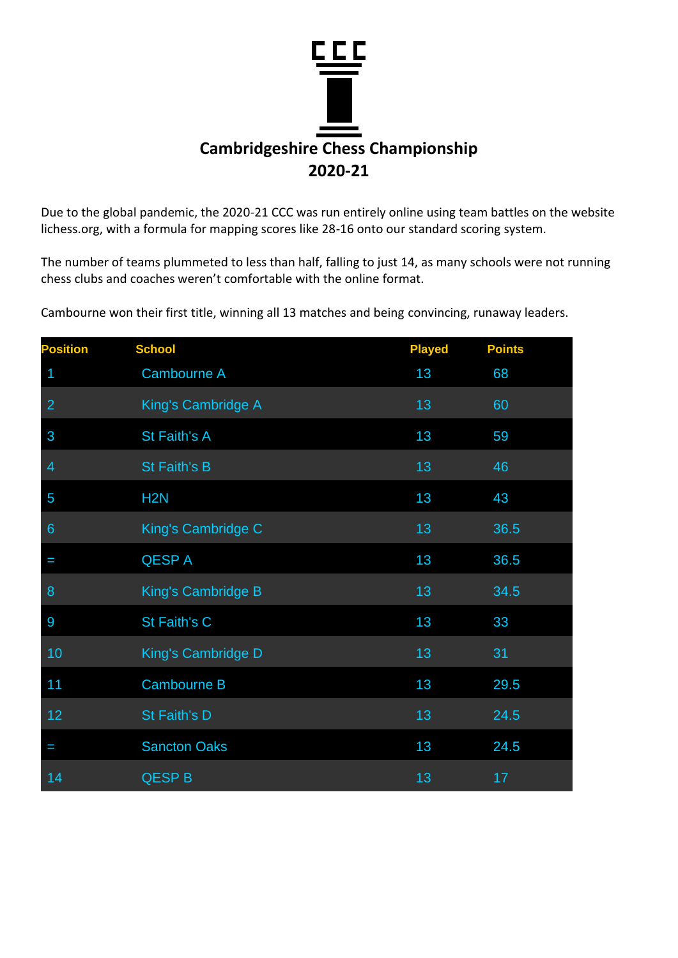

Due to the global pandemic, the 2020-21 CCC was run entirely online using team battles on the website lichess.org, with a formula for mapping scores like 28-16 onto our standard scoring system.

The number of teams plummeted to less than half, falling to just 14, as many schools were not running chess clubs and coaches weren't comfortable with the online format.

Cambourne won their first title, winning all 13 matches and being convincing, runaway leaders.

| <b>Position</b> | <b>School</b>       | <b>Played</b> | <b>Points</b> |
|-----------------|---------------------|---------------|---------------|
| 1               | Cambourne A         | 13            | 68            |
| $\overline{2}$  | King's Cambridge A  | 13            | 60            |
| 3               | St Faith's A        | 13            | 59            |
| $\overline{4}$  | <b>St Faith's B</b> | 13            | 46            |
| 5               | H <sub>2</sub> N    | 13            | 43            |
| $6\phantom{1}6$ | King's Cambridge C  | 13            | 36.5          |
| I               | <b>QESPA</b>        | 13            | 36.5          |
| 8               | King's Cambridge B  | 13            | 34.5          |
| 9               | St Faith's C        | 13            | 33            |
| 10              | King's Cambridge D  | 13            | 31            |
| 11              | <b>Cambourne B</b>  | 13            | 29.5          |
| 12              | St Faith's D        | 13            | 24.5          |
| I               | <b>Sancton Oaks</b> | 13            | 24.5          |
| 14              | <b>QESP B</b>       | 13            | 17            |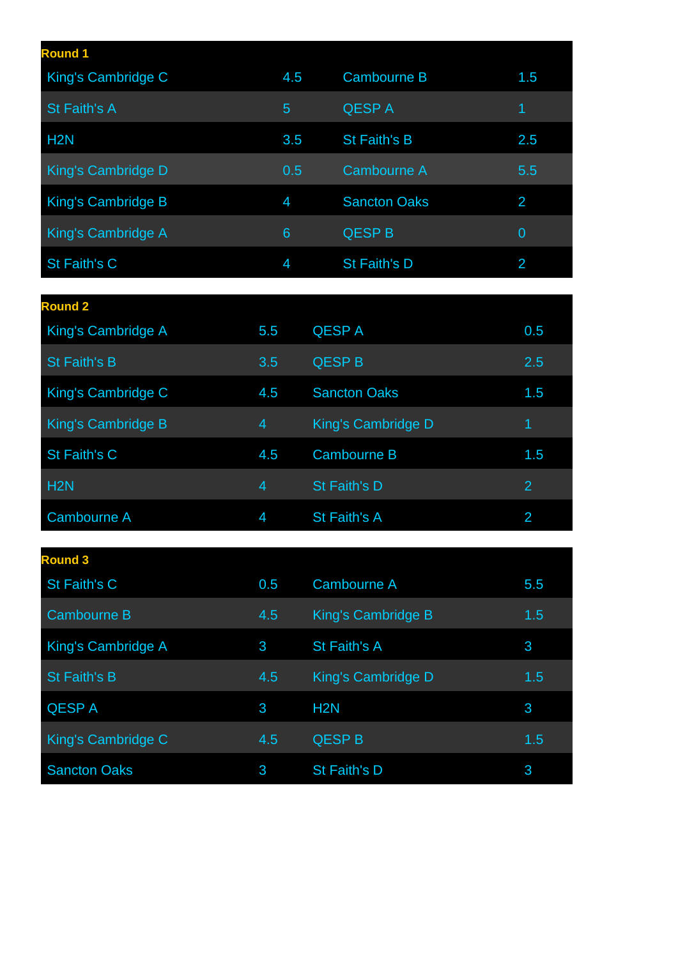| <b>Round 1</b>     |     |                     |                |
|--------------------|-----|---------------------|----------------|
| King's Cambridge C | 4.5 | <b>Cambourne B</b>  | 1.5            |
| St Faith's A       | 5   | <b>QESPA</b>        | 1              |
| H <sub>2</sub> N   | 3.5 | St Faith's B        | 2.5            |
| King's Cambridge D | 0.5 | Cambourne A         | 5.5            |
| King's Cambridge B | 4   | <b>Sancton Oaks</b> | 2              |
| King's Cambridge A | 6   | <b>QESP B</b>       | $\overline{0}$ |
| St Faith's C       | 4   | St Faith's D        | 2              |

| <b>Round 2</b>            |     |                     |                |
|---------------------------|-----|---------------------|----------------|
| King's Cambridge A        | 5.5 | <b>QESPA</b>        | 0.5            |
| <b>St Faith's B</b>       | 3.5 | <b>QESP B</b>       | 2.5            |
| King's Cambridge C        | 4.5 | <b>Sancton Oaks</b> | 1.5            |
| <b>King's Cambridge B</b> | 4   | King's Cambridge D  | 4              |
| St Faith's C              | 4.5 | <b>Cambourne B</b>  | 1.5            |
| H <sub>2N</sub>           | 4   | <b>St Faith's D</b> | $\overline{2}$ |
| <b>Cambourne A</b>        | 4   | St Faith's A        | $\overline{2}$ |

| <b>Round 3</b>      |     |                    |     |
|---------------------|-----|--------------------|-----|
| St Faith's C        | 0.5 | Cambourne A        | 5.5 |
| <b>Cambourne B</b>  | 4.5 | King's Cambridge B | 1.5 |
| King's Cambridge A  | 3   | St Faith's A       | 3   |
| <b>St Faith's B</b> | 4.5 | King's Cambridge D | 1.5 |
| <b>QESPA</b>        | 3   | H <sub>2</sub> N   | 3   |
| King's Cambridge C  | 4.5 | <b>QESP B</b>      | 1.5 |
| <b>Sancton Oaks</b> | 3   | St Faith's D       | 3   |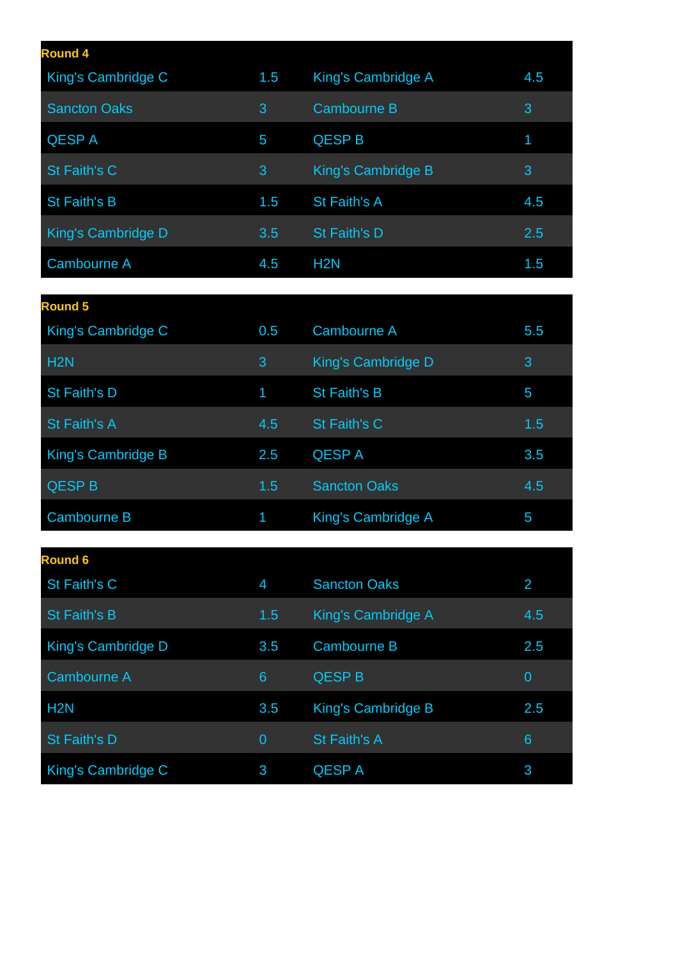| <b>Round 4</b>      |     |                    |     |
|---------------------|-----|--------------------|-----|
| King's Cambridge C  | 1.5 | King's Cambridge A | 4.5 |
| <b>Sancton Oaks</b> | 3   | <b>Cambourne B</b> | 3   |
| <b>QESPA</b>        | 5   | <b>QESP B</b>      | 1   |
| St Faith's C        | 3   | King's Cambridge B | 3   |
| St Faith's B        | 1.5 | St Faith's A       | 4.5 |
| King's Cambridge D  | 3.5 | St Faith's D       | 2.5 |
| Cambourne A         | 4.5 | H <sub>2</sub> N   | 1.5 |
|                     |     |                    |     |
| <b>Round 5</b>      |     |                    |     |
| King's Cambridge C  | 0.5 | <b>Cambourne A</b> | 5.5 |
| H <sub>2</sub> N    | 3   | King's Cambridge D | 3   |
| St Faith's D        | 1   | St Faith's B       | 5   |
| St Faith's A        | 4.5 | St Faith's C       | 1.5 |

| King's Cambridge B | 2.5           | <b>QESPA</b>         | 3.5 |
|--------------------|---------------|----------------------|-----|
| <b>QESP B</b>      | $1.5^{\circ}$ | <b>Sancton Oaks</b>  | 4.5 |
| Cambourne B        |               | 1 King's Cambridge A | b   |
|                    |               |                      |     |

| <b>Round 6</b>      |                |                           |                |
|---------------------|----------------|---------------------------|----------------|
| St Faith's C        | $\overline{4}$ | <b>Sancton Oaks</b>       | $\overline{2}$ |
| <b>St Faith's B</b> | 1.5            | King's Cambridge A        | 4.5            |
| King's Cambridge D  | 3.5            | <b>Cambourne B</b>        | 2.5            |
| Cambourne A         | 6              | <b>QESP B</b>             | $\overline{0}$ |
| H <sub>2</sub> N    | 3.5            | <b>King's Cambridge B</b> | 2.5            |
| <b>St Faith's D</b> | $\overline{0}$ | <b>St Faith's A</b>       | 6              |
| King's Cambridge C  | 3              | <b>QESPA</b>              | 3              |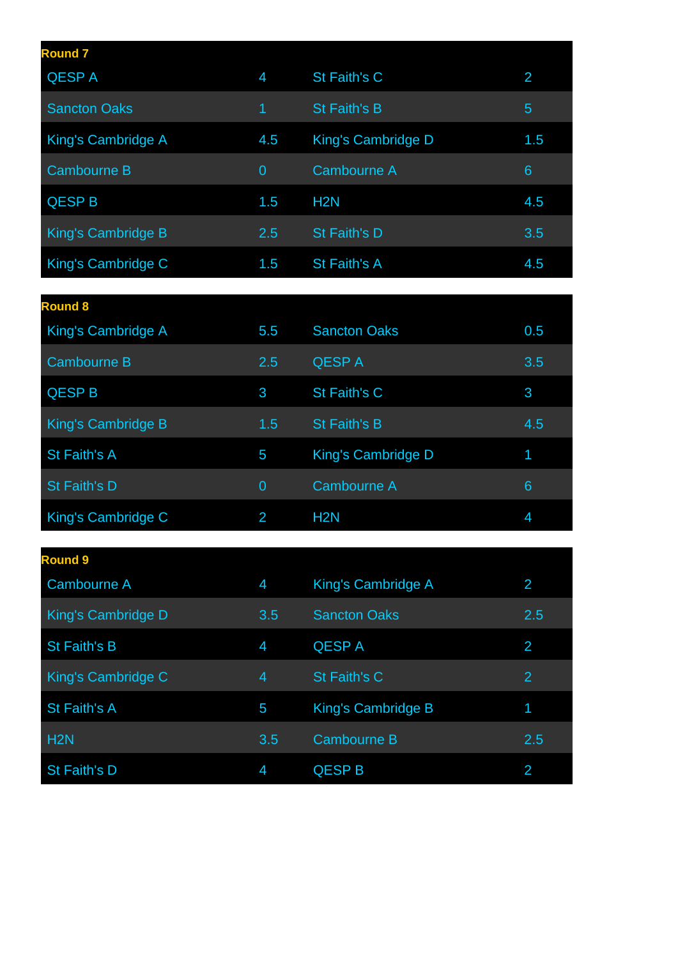| <b>Round 7</b>      |     |                     |     |
|---------------------|-----|---------------------|-----|
| <b>QESPA</b>        | 4   | St Faith's C        | 2   |
| <b>Sancton Oaks</b> | 1   | St Faith's B        | 5   |
| King's Cambridge A  | 4.5 | King's Cambridge D  | 1.5 |
| Cambourne B         | 0   | <b>Cambourne A</b>  | 6   |
| <b>QESP B</b>       | 1.5 | H <sub>2N</sub>     | 4.5 |
| King's Cambridge B  | 2.5 | St Faith's D        | 3.5 |
| King's Cambridge C  | 1.5 | <b>St Faith's A</b> | 4.5 |

| <b>Round 8</b>     |                |                           |     |
|--------------------|----------------|---------------------------|-----|
| King's Cambridge A | 5.5            | <b>Sancton Oaks</b>       | 0.5 |
| <b>Cambourne B</b> | 2.5            | <b>QESPA</b>              | 3.5 |
| <b>QESP B</b>      | 3              | St Faith's C              | 3   |
| King's Cambridge B | 1.5            | <b>St Faith's B</b>       | 4.5 |
| St Faith's A       | 5              | <b>King's Cambridge D</b> | 1   |
| St Faith's D       | $\overline{0}$ | <b>Cambourne A</b>        | 6   |
| King's Cambridge C | $\overline{2}$ | H <sub>2</sub> N          | 4   |

| <b>Round 9</b>     |     |                           |                |
|--------------------|-----|---------------------------|----------------|
| Cambourne A        | 4   | <b>King's Cambridge A</b> | 2              |
| King's Cambridge D | 3.5 | <b>Sancton Oaks</b>       | 2.5            |
| St Faith's B       | 4   | <b>QESPA</b>              | $\overline{2}$ |
| King's Cambridge C | 4   | St Faith's C              | $\overline{2}$ |
| St Faith's A       | 5   | <b>King's Cambridge B</b> | 1              |
| H <sub>2N</sub>    | 3.5 | <b>Cambourne B</b>        | 2.5            |
| St Faith's D       | 4   | <b>QESP B</b>             | 2              |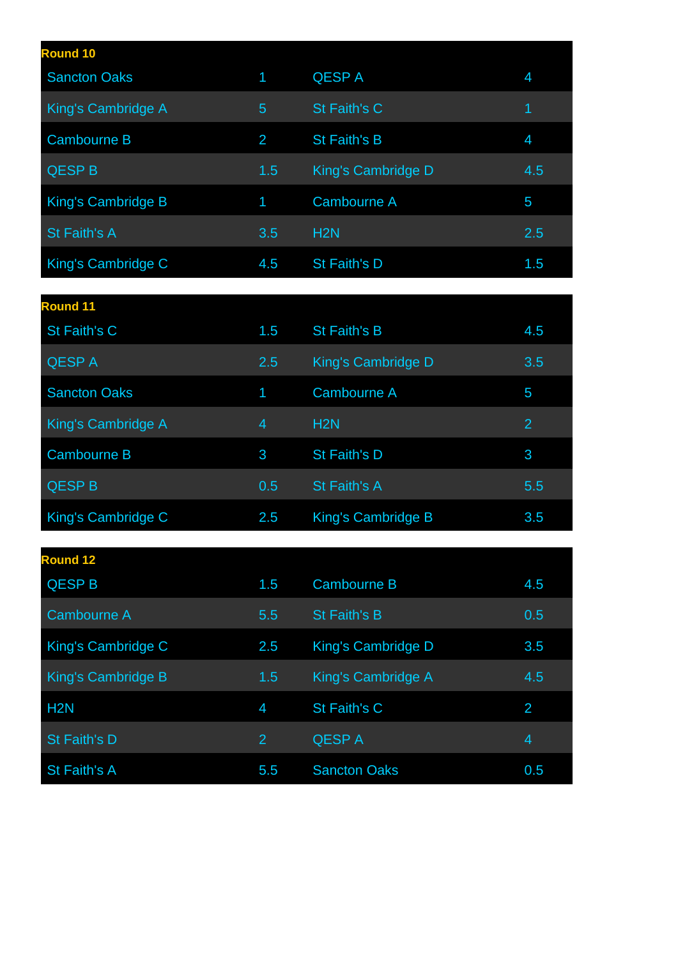| <b>Round 10</b>     |     |                     |     |
|---------------------|-----|---------------------|-----|
| <b>Sancton Oaks</b> | 1   | <b>QESPA</b>        | 4   |
| King's Cambridge A  | 5   | St Faith's C        | 1   |
| <b>Cambourne B</b>  | 2   | <b>St Faith's B</b> | 4   |
| <b>QESP B</b>       | 1.5 | King's Cambridge D  | 4.5 |
| King's Cambridge B  | 1   | Cambourne A         | 5   |
| St Faith's A        | 3.5 | H <sub>2N</sub>     | 2.5 |
| King's Cambridge C  | 4.5 | St Faith's D        | 1.5 |

| <b>Round 11</b>     |     |                    |                |
|---------------------|-----|--------------------|----------------|
| St Faith's C        | 1.5 | St Faith's B       | 4.5            |
| <b>QESPA</b>        | 2.5 | King's Cambridge D | 3.5            |
| <b>Sancton Oaks</b> | 1   | Cambourne A        | 5              |
| King's Cambridge A  | 4   | H <sub>2N</sub>    | $\overline{2}$ |
| <b>Cambourne B</b>  | 3   | St Faith's D       | 3              |
| <b>QESP B</b>       | 0.5 | St Faith's A       | 5.5            |
| King's Cambridge C  | 2.5 | King's Cambridge B | 3.5            |

| <b>Round 12</b>    |                |                           |     |
|--------------------|----------------|---------------------------|-----|
| <b>QESP B</b>      | 1.5            | <b>Cambourne B</b>        | 4.5 |
| Cambourne A        | 5.5            | <b>St Faith's B</b>       | 0.5 |
| King's Cambridge C | 2.5            | <b>King's Cambridge D</b> | 3.5 |
| King's Cambridge B | 1.5            | King's Cambridge A        | 4.5 |
| H <sub>2</sub> N   | 4              | St Faith's C              | 2   |
| St Faith's D       | $\overline{2}$ | <b>QESPA</b>              | 4   |
| St Faith's A       | 5.5            | <b>Sancton Oaks</b>       | 0.5 |